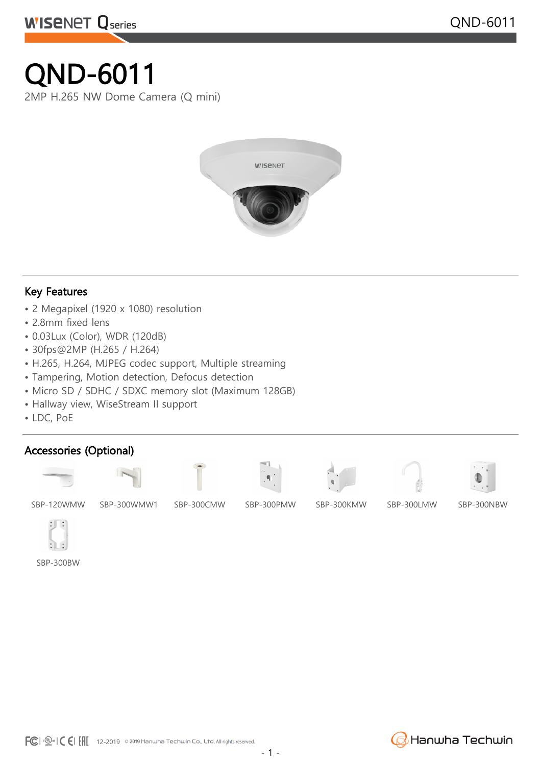# QND-6011

**WISENET Qseries** 

2MP H.265 NW Dome Camera (Q mini)



#### Key Features

- 2 Megapixel (1920 x 1080) resolution
- 2.8mm fixed lens
- 0.03Lux (Color), WDR (120dB)
- 30fps@2MP (H.265 / H.264)
- H.265, H.264, MJPEG codec support, Multiple streaming
- Tampering, Motion detection, Defocus detection
- Micro SD / SDHC / SDXC memory slot (Maximum 128GB)
- Hallway view, WiseStream II support
- LDC, PoE

### Accessories (Optional)















SBP-120WMW SBP-300WMW1 SBP-300CMW SBP-300PMW SBP-300KMW SBP-300LMW SBP-300NBW



SBP-300BW

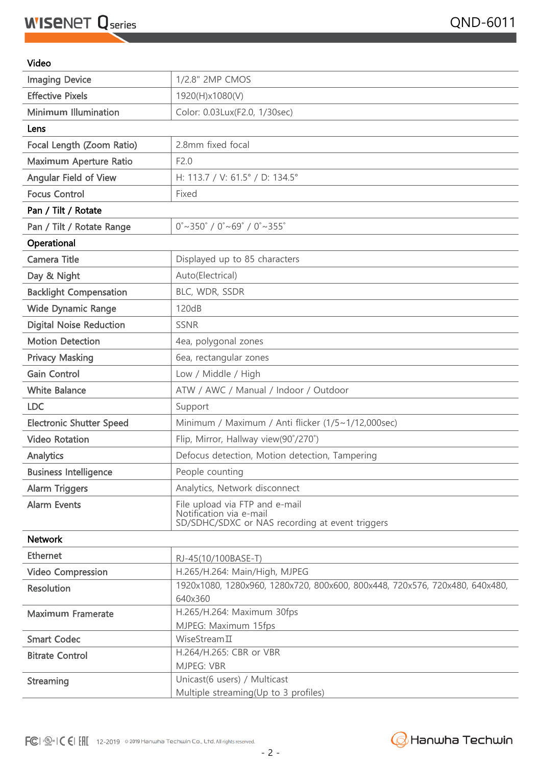#### Video

| 1920x1080, 1280x960, 1280x720, 800x600, 800x448, 720x576, 720x480, 640x480, |
|-----------------------------------------------------------------------------|
|                                                                             |
|                                                                             |
|                                                                             |
|                                                                             |
|                                                                             |
|                                                                             |

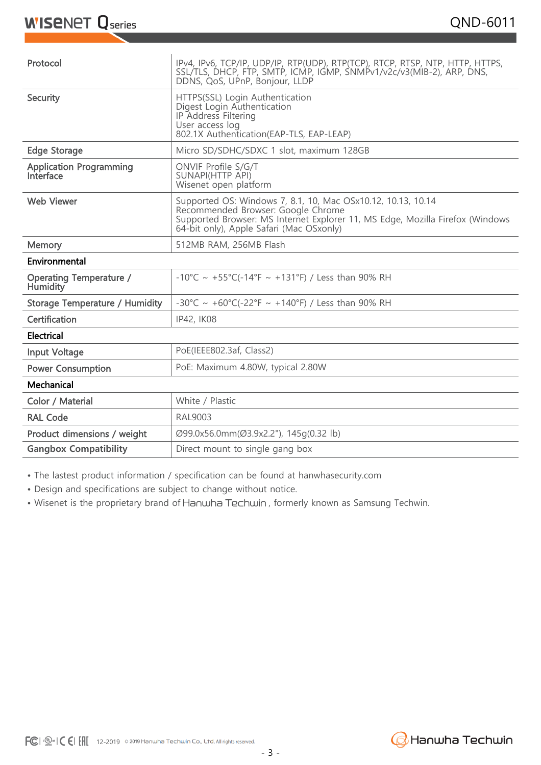## **WISENET Q** series

| Protocol                                    | IPv4, IPv6, TCP/IP, UDP/IP, RTP(UDP), RTP(TCP), RTCP, RTSP, NTP, HTTP, HTTPS,<br>SSL/TLS, DHCP, FTP, SMTP, ICMP, IGMP, SNMPv1/v2c/v3(MIB-2), ARP, DNS,<br>DDNS, QoS, UPnP, Bonjour, LLDP                                        |
|---------------------------------------------|---------------------------------------------------------------------------------------------------------------------------------------------------------------------------------------------------------------------------------|
| Security                                    | HTTPS(SSL) Login Authentication<br>Digest Login Authentication<br>IP Address Filtering<br>User access log<br>802.1X Authentication(EAP-TLS, EAP-LEAP)                                                                           |
| <b>Edge Storage</b>                         | Micro SD/SDHC/SDXC 1 slot, maximum 128GB                                                                                                                                                                                        |
| <b>Application Programming</b><br>Interface | ONVIF Profile S/G/T<br><b>SUNAPI(HTTP API)</b><br>Wisenet open platform                                                                                                                                                         |
| Web Viewer                                  | Supported OS: Windows 7, 8.1, 10, Mac OSx10.12, 10.13, 10.14<br>Recommended Browser: Google Chrome<br>Supported Browser: MS Internet Explorer 11, MS Edge, Mozilla Firefox (Windows<br>64-bit only), Apple Safari (Mac OSxonly) |
| Memory                                      | 512MB RAM, 256MB Flash                                                                                                                                                                                                          |
| Environmental                               |                                                                                                                                                                                                                                 |
|                                             |                                                                                                                                                                                                                                 |
| <b>Operating Temperature /</b><br>Humidity  | -10°C ~ +55°C(-14°F ~ +131°F) / Less than 90% RH                                                                                                                                                                                |
| <b>Storage Temperature / Humidity</b>       | -30°C ~ +60°C(-22°F ~ +140°F) / Less than 90% RH                                                                                                                                                                                |
| Certification                               | IP42, IK08                                                                                                                                                                                                                      |
| Electrical                                  |                                                                                                                                                                                                                                 |
| <b>Input Voltage</b>                        | PoE(IEEE802.3af, Class2)                                                                                                                                                                                                        |
| <b>Power Consumption</b>                    | PoE: Maximum 4.80W, typical 2.80W                                                                                                                                                                                               |
| Mechanical                                  |                                                                                                                                                                                                                                 |
| Color / Material                            | White / Plastic                                                                                                                                                                                                                 |
| <b>RAL Code</b>                             | <b>RAL9003</b>                                                                                                                                                                                                                  |
| Product dimensions / weight                 | Ø99.0x56.0mm(Ø3.9x2.2"), 145q(0.32 lb)                                                                                                                                                                                          |

• The lastest product information / specification can be found at hanwhasecurity.com

• Design and specifications are subject to change without notice.

• Wisenet is the proprietary brand of Hanwha Techwin, formerly known as Samsung Techwin.